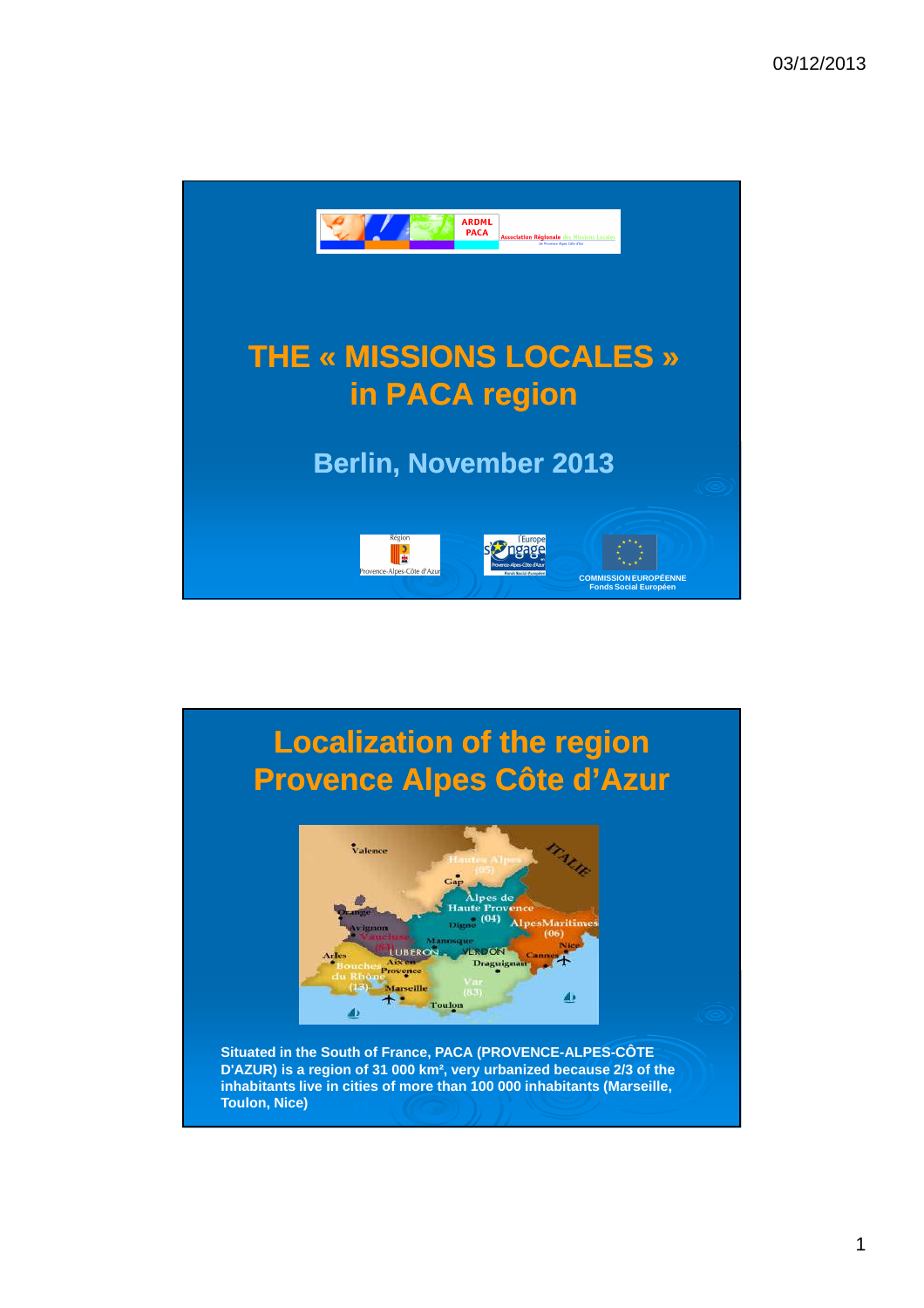

## **Localization Localization of the region Provence Alpes Côte d'Azur** Valence LUBERON **Vix on** igui Provence Marseille ▲ Toulor ده **Situated in the South of France, PACA (PROVENCE-ALPES-CÔTE D'AZUR) is a region of 31 000 km², very urbanized because 2/3 of the inhabitants live in cities of more than 100 000 inhabitants (Marseille, Toulon, Nice)**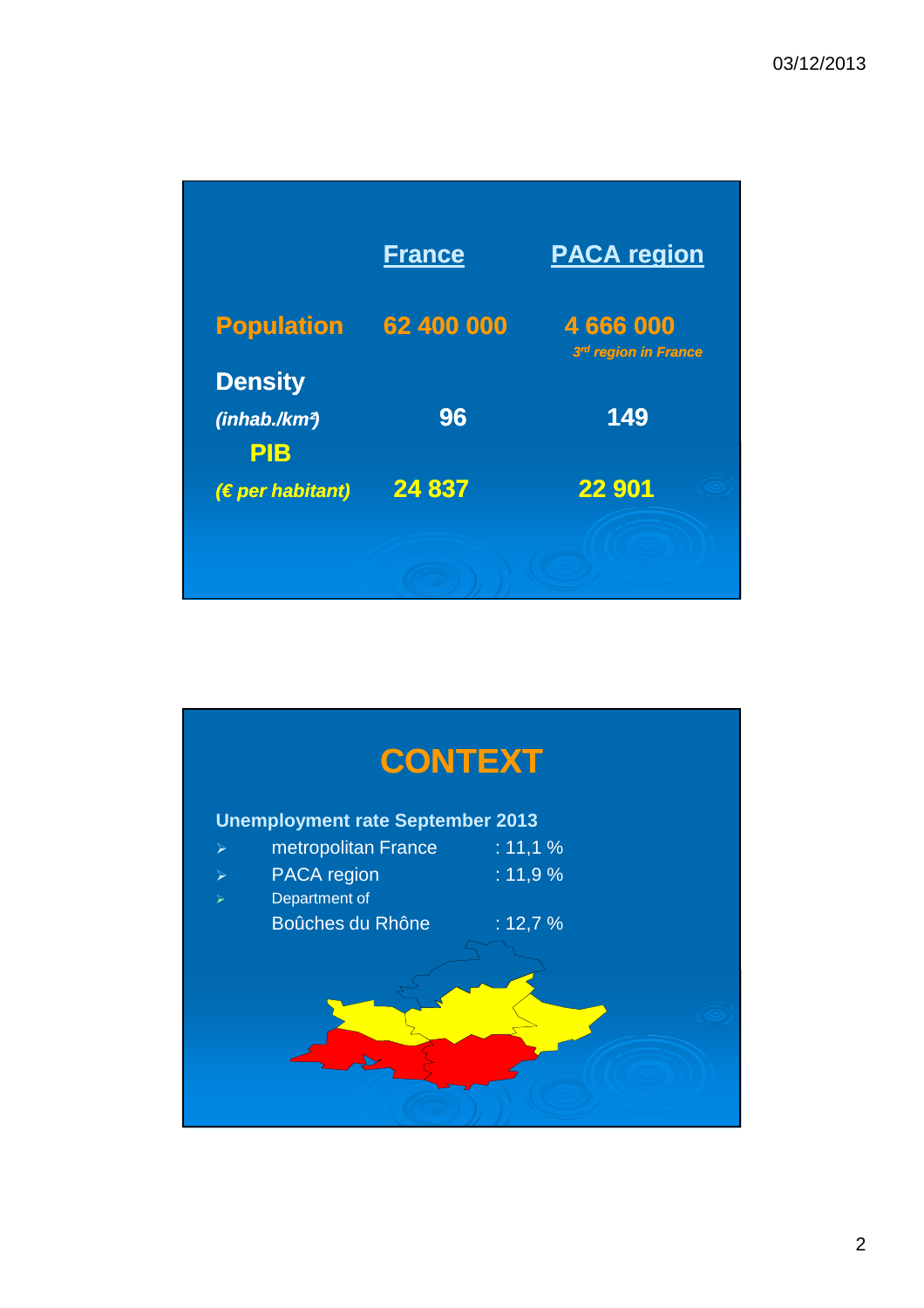|                                                           | <b>France</b> | <b>PACA region</b>              |
|-----------------------------------------------------------|---------------|---------------------------------|
| <b>Population</b>                                         | 62 400 000    | 4666000<br>3rd region in France |
| <b>Density</b><br>(inhab./km <sup>2</sup> )<br><b>PIB</b> | 96            | 149                             |
| $(E)$ peer Hadbitant)                                     | 24 837        | 22 901                          |
|                                                           |               |                                 |

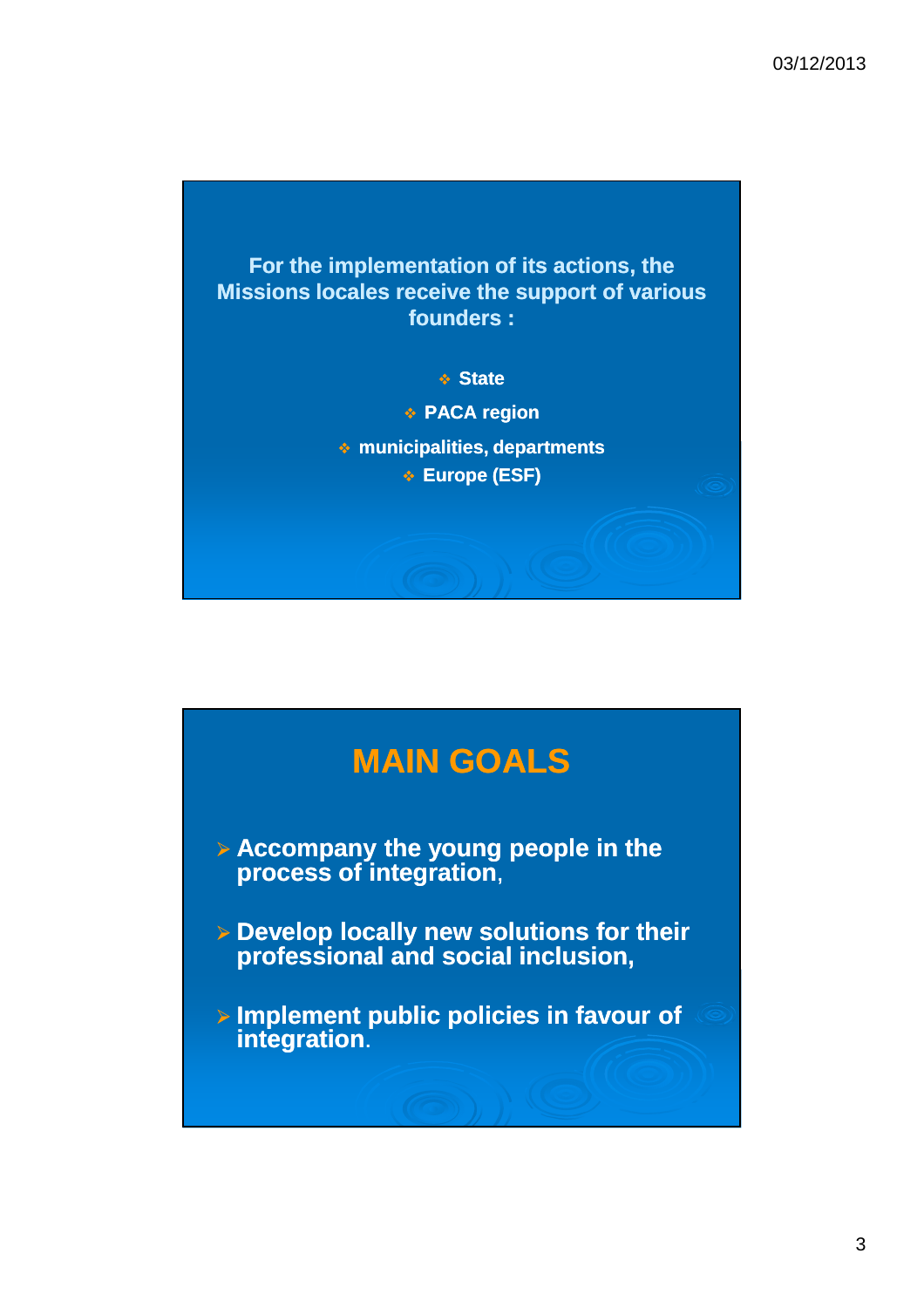

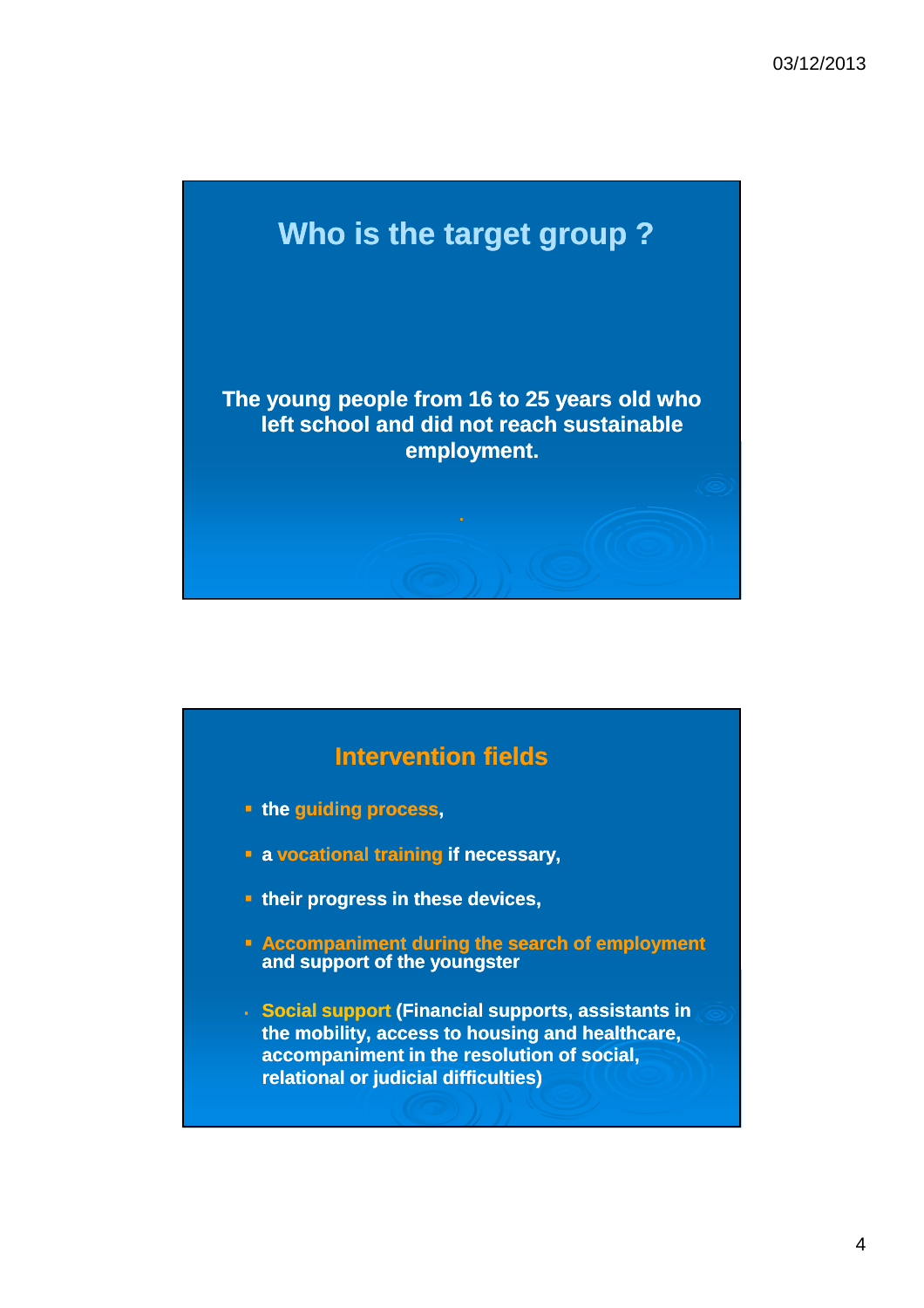

## **Intervention fields the guiding process, a vocational training if necessary, their progress in these devices, Accompaniment during the search of employment and support of the youngster Social support (Financial supports, assistants in the mobility, access to housing and healthcare, accompaniment in the resolution of social, relational or judicial difficulties)**